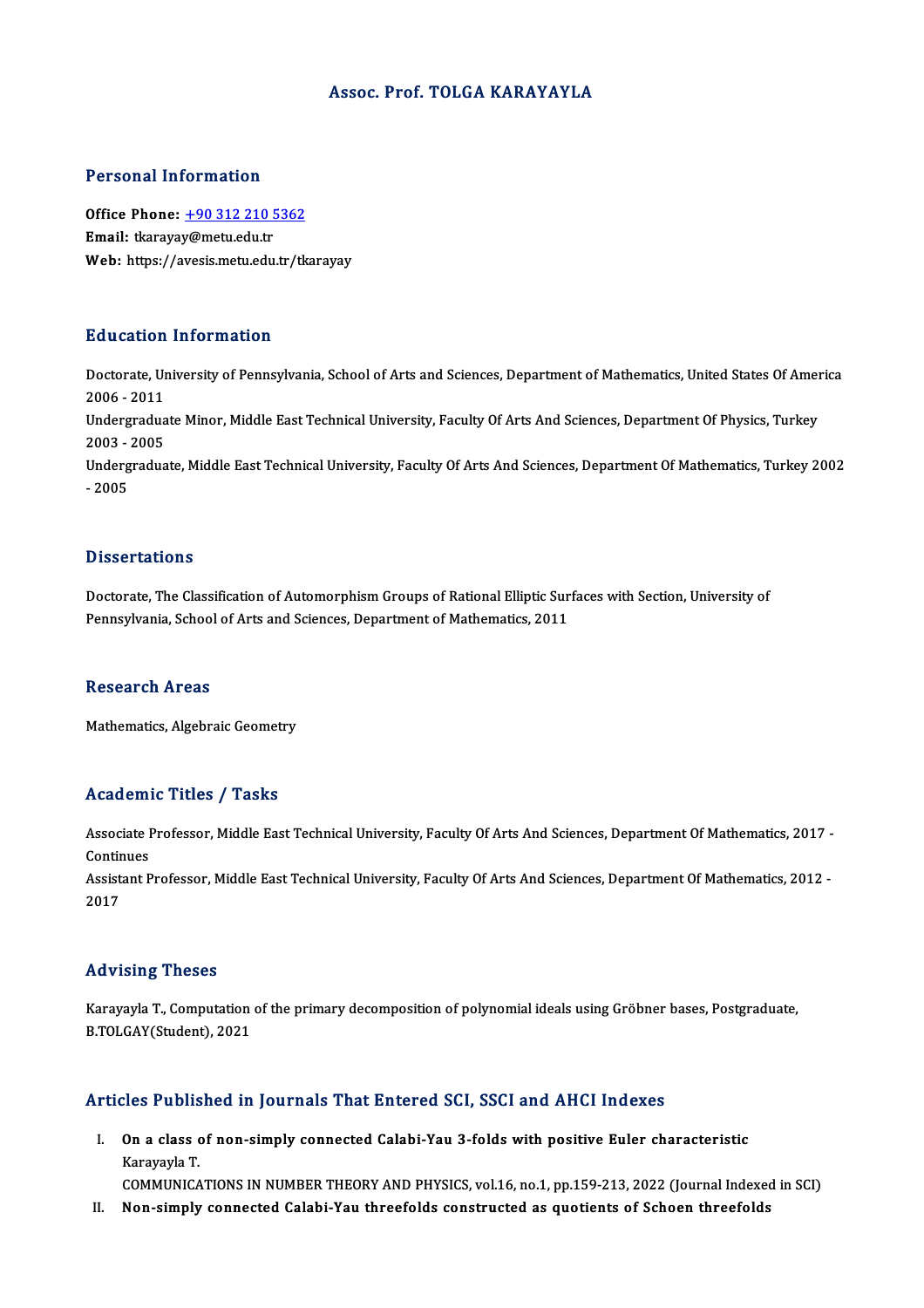#### Assoc. Prof. TOLGA KARAYAYLA

#### Personal Information

Personal Information<br>Office Phone: <u>+90 312 210 5362</u><br>Email: tkarayay@matu.edu.tr Procedure internation<br>Office Phone: <u>+90 312 210 !</u><br>Email: tkaraya[y@metu.edu.tr](tel:+90 312 210 5362) Email: tkarayay@metu.edu.tr<br>Web: https://avesis.metu.edu.tr/tkarayay

#### Education Information

**Education Information**<br>Doctorate, University of Pennsylvania, School of Arts and Sciences, Department of Mathematics, United States Of America<br>2006 - 2011 2006 -2011<br>2006 - 2011<br>Indergredue Doctorate, University of Pennsylvania, School of Arts and Sciences, Department of Mathematics, United States Of Amer<br>2006 - 2011<br>Undergraduate Minor, Middle East Technical University, Faculty Of Arts And Sciences, Departme

2006 - 2011<br>Undergradua<br>2003 - 2005<br>Undergradua Undergraduate Minor, Middle East Technical University, Faculty Of Arts And Sciences, Department Of Physics, Turkey<br>2003 - 2005<br>Undergraduate, Middle East Technical University, Faculty Of Arts And Sciences, Department Of Ma

2003 - 2005<br>Undergraduate, Middle East Technical University, Faculty Of Arts And Sciences, Department Of Mathematics, Turkey 2002<br>- 2005

#### **Dissertations**

Doctorate, The Classification of Automorphism Groups of Rational Elliptic Surfaces with Section, University of Pennsylvania, School of Arts and Sciences, Department of Mathematics, 2011

#### **Research Areas**

Mathematics, Algebraic Geometry

#### Academic Titles / Tasks

Academic Titles / Tasks<br>Associate Professor, Middle East Technical University, Faculty Of Arts And Sciences, Department Of Mathematics, 2017 -<br>Continues Associate I<br>Continues<br>Assistant B Associate Professor, Middle East Technical University, Faculty Of Arts And Sciences, Department Of Mathematics, 2017 -<br>Continues<br>Assistant Professor, Middle East Technical University, Faculty Of Arts And Sciences, Departme

Continues<br>Assistant Professor, Middle East Technical University, Faculty Of Arts And Sciences, Department Of Mathematics, 2012 -<br>2017

#### Advising Theses

Advising Theses<br>Karayayla T., Computation of the primary decomposition of polynomial ideals using Gröbner bases, Postgraduate,<br>P.TOLGAY(Student), 2021 reevening Theses<br>Karayayla T., Computation<br>B.TOLGAY(Student), 2021

## Articles Published in Journals That Entered SCI, SSCI and AHCI Indexes

rticles Published in Journals That Entered SCI, SSCI and AHCI Indexes<br>I. On a class of non-simply connected Calabi-Yau 3-folds with positive Euler characteristic<br>Kanayayla T STOO T WOMEN<br>On a class of<br>Karayayla T.<br>COMMUNICA Karayayla T.<br>COMMUNICATIONS IN NUMBER THEORY AND PHYSICS, vol.16, no.1, pp.159-213, 2022 (Journal Indexed in SCI)

II. Non-simply connected Calabi-Yau threefolds constructed as quotients of Schoen threefolds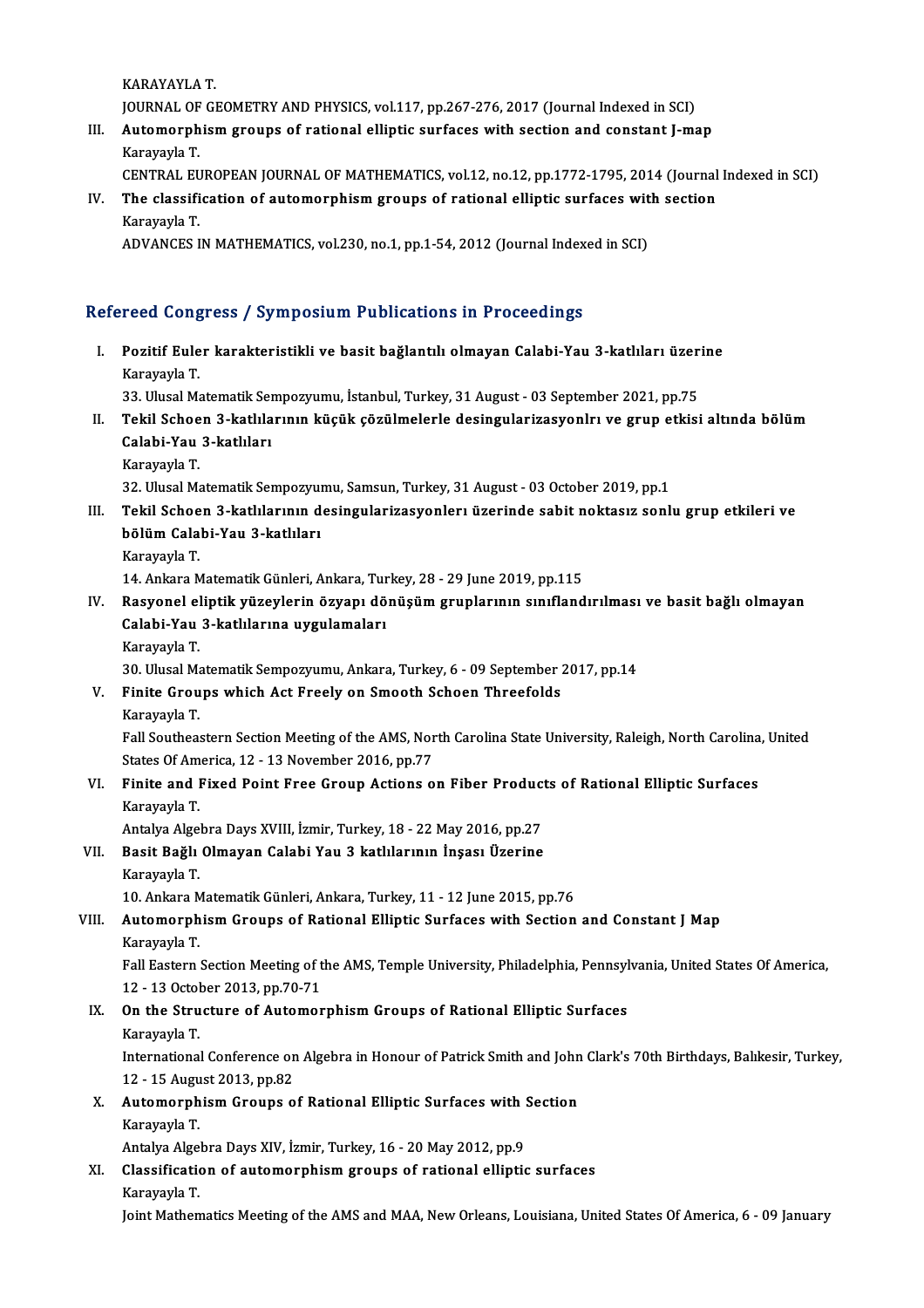KARAYAYLAT.

KARAYAYLA T.<br>JOURNAL OF GEOMETRY AND PHYSICS, vol.117, pp.267-276, 2017 (Journal Indexed in SCI)<br>Automorphism groups of rational elliptic surfaces with section and constant I me

- III. Automorphism groups of rational elliptic surfaces with section and constant J-map Karavavla T. JOURNAL OF<br><mark>Automorph</mark><br>Karayayla T.<br>CENTRAL EL
	- CENTRAL EUROPEAN JOURNAL OF MATHEMATICS, vol.12, no.12, pp.1772-1795, 2014 (Journal Indexed in SCI)
- Karayayla T.<br>CENTRAL EUROPEAN JOURNAL OF MATHEMATICS, vol.12, no.12, pp.1772-1795, 2014 (Journal<br>IV. The classification of automorphism groups of rational elliptic surfaces with section<br>Karayayla T Karayayla T.<br>ADVANCES IN MATHEMATICS, vol.230, no.1, pp.1-54, 2012 (Journal Indexed in SCI) The classification of automorphism groups of rational elliptic surfaces wit<br>Karayayla T.<br>ADVANCES IN MATHEMATICS, vol.230, no.1, pp.1-54, 2012 (Journal Indexed in SCI)

#### Refereed Congress / Symposium Publications in Proceedings

efereed Congress / Symposium Publications in Proceedings<br>I. Pozitif Euler karakteristikli ve basit bağlantılı olmayan Calabi-Yau 3-katlıları üzerine<br>Karayayla T Pozitif Eule<br>Pozitif Eule<br>Karayayla T. Pozitif Euler karakteristikli ve basit bağlantılı olmayan Calabi-Yau 3-katlıları üzer<br>Karayayla T.<br>33. Ulusal Matematik Sempozyumu, İstanbul, Turkey, 31 August - 03 September 2021, pp.75<br>Tekil Sebeen 3 katlılarının küçük ç

Karayayla T.<br>33. Ulusal Matematik Sempozyumu, İstanbul, Turkey, 31 August - 03 September 2021, pp.75<br>II. Tekil Schoen 3-katlılarının küçük çözülmelerle desingularizasyonlrı ve grup etkisi altında bölüm<br>Calabi Yay 3 kat 33. Ulusal Matematik Sempozyumu, İstanbul, Turkey, 31 August - 03 September 2021, pp.75<br>Tekil Schoen 3-katlılarının küçük çözülmelerle desingularizasyonlrı ve grup etkis<br>Calabi-Yau 3-katlıları<br>Karayayla T. Tekil Schoe<br>Calabi-Yau<br>Karayayla T.<br><sup>22. Ubreal M</sub></sup>

32. Ulusal Matematik Sempozyumu, Samsun, Turkey, 31 August - 03 October 2019, pp.1

- Karayayla T.<br>32. Ulusal Matematik Sempozyumu, Samsun, Turkey, 31 August 03 October 2019, pp.1<br>III. Tekil Schoen 3-katlılarının desingularizasyonlerı üzerinde sabit noktasız sonlu grup etkileri ve<br>bölüm Galabi Yau 3-k 32. Ulusal Matematik Sempozyul<br>Tekil Schoen 3-katlılarının d<br>bölüm Calabi-Yau 3-katlıları<br>Karayayla T Tekil Schoe<br>bölüm Cala<br>Karayayla T.<br>14. Ankara M bölüm Calabi-Yau 3-katlıları<br>Karayayla T.<br>14. Ankara Matematik Günleri, Ankara, Turkey, 28 - 29 June 2019, pp.115
	-

- Karayayla T.<br>14. Ankara Matematik Günleri, Ankara, Turkey, 28 29 June 2019, pp.115<br>IV. Rasyonel eliptik yüzeylerin özyapı dönüşüm gruplarının sınıflandırılması ve basit bağlı olmayan<br>Calabi Yau 3. katlılarına uygulam 14. Ankara Matematik Günleri, Ankara, Tur<br>Rasyonel eliptik yüzeylerin özyapı dö<br>Calabi-Yau 3-katlılarına uygulamaları<br>Karayayla T Rasyonel el<br>Calabi-Yau<br>Karayayla T.<br>20. Ulusel M Calabi-Yau 3-katlılarına uygulamaları<br>Karayayla T.<br>30. Ulusal Matematik Sempozyumu, Ankara, Turkey, 6 - 09 September 2017, pp.14<br>Finite Crouns whish Ast Ersely en Smooth Ssheen Threefelds
	-

Karayayla T.<br>30. Ulusal Matematik Sempozyumu, Ankara, Turkey, 6 - 09 September<br>V. Finite Groups which Act Freely on Smooth Schoen Threefolds<br>Karavavla T. 30. Ulusal Ma<br>Finite Grou<br>Karayayla T.<br><sup>Foll Southees</sup>

Finite Groups which Act Freely on Smooth Schoen Threefolds<br>Karayayla T.<br>Fall Southeastern Section Meeting of the AMS, North Carolina State University, Raleigh, North Carolina, United<br>States Of America, 12, 12 November 2016 Karayayla T.<br>Fall Southeastern Section Meeting of the AMS, Nor<br>States Of America, 12 - 13 November 2016, pp.77<br>Finite and Fived Beint Free Croup Astions e Fall Southeastern Section Meeting of the AMS, North Carolina State University, Raleigh, North Carolina<br>States Of America, 12 - 13 November 2016, pp.77<br>VI. Finite and Fixed Point Free Group Actions on Fiber Products of Rati

### States Of America, 12 - 13 November 2016, pp.77<br>VI. Finite and Fixed Point Free Group Actions on Fiber Products of Rational Elliptic Surfaces<br>Karayayla T. Finite and Fixed Point Free Group Actions on Fiber Product<br>Karayayla T.<br>Antalya Algebra Days XVIII, İzmir, Turkey, 18 - 22 May 2016, pp.27<br>Bosit Bošlı Olmayan Calabi Yau 3 katlılarının İngası Üzerine

Karayayla T.<br>Antalya Algebra Days XVIII, İzmir, Turkey, 18 - 22 May 2016, pp.27<br>VII. Basit Bağlı Olmayan Calabi Yau 3 katlılarının İnşası Üzerine<br>Kanayayla T Antalya Alge<br><mark>Basit Bağlı</mark><br>Karayayla T.<br>10. Ankara M</mark> Basit Bağlı Olmayan Calabi Yau 3 katlılarının İnşası Üzerine<br>Karayayla T.<br>10. Ankara Matematik Günleri, Ankara, Turkey, 11 - 12 June 2015, pp.76<br>Automorphism Crouns of Bational Ellintis Surfases with Sestion Karayayla T.<br>10. Ankara Matematik Günleri, Ankara, Turkey, 11 - 12 June 2015, pp.76<br>VIII. Automorphism Groups of Rational Elliptic Surfaces with Section and Constant J Map

### KarayaylaT. Automorphism Groups of Rational Elliptic Surfaces with Section and Constant J Map<br>Karayayla T.<br>Fall Eastern Section Meeting of the AMS, Temple University, Philadelphia, Pennsylvania, United States Of America,<br>12 . 13 Octob

Karayayla T.<br>Fall Eastern Section Meeting of t<br>12 - 13 October 2013, pp.70-71<br>On the Structure of Automer Fall Eastern Section Meeting of the AMS, Temple University, Philadelphia, Pennsyl<br>12 - 13 October 2013, pp.70-71<br>IX. On the Structure of Automorphism Groups of Rational Elliptic Surfaces<br>Kanayayla T

## 12 - 13 Octol<br>**On the Stru**<br>Karayayla T.<br>Internationa

On the Structure of Automorphism Groups of Rational Elliptic Surfaces<br>Karayayla T.<br>International Conference on Algebra in Honour of Patrick Smith and John Clark's 70th Birthdays, Balıkesir, Turkey, Karayayla T.<br>International Conference on<br>12 - 15 August 2013, pp.82<br>Automornhiam Crouns o International Conference on Algebra in Honour of Patrick Smith and John<br>12 - 15 August 2013, pp.82<br>X. Automorphism Groups of Rational Elliptic Surfaces with Section<br>Karayayla T

### 12 - 15 August 2013, pp.82<br>Automorphism Groups o<br>Karayayla T. X. Automorphism Groups of Rational Elliptic Surfaces with Section

Antalya Algebra Days XIV, İzmir, Turkey, 16 - 20 May 2012, pp.9

XI. Classification of automorphism groups of rational elliptic surfaces<br>Karayayla T.

Joint Mathematics Meeting of the AMS and MAA, New Orleans, Louisiana, United States Of America, 6 - 09 January